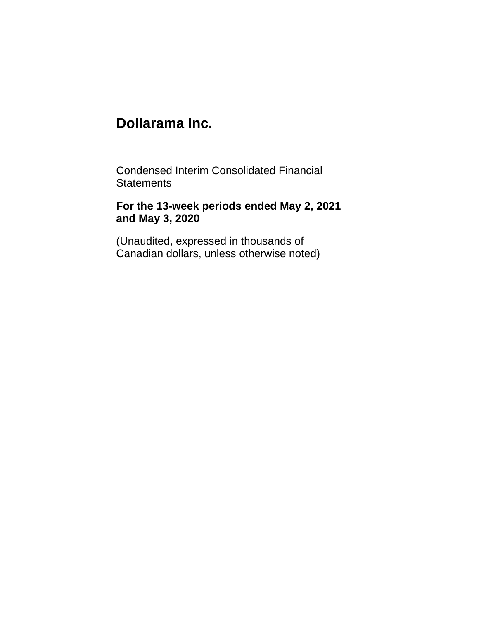Condensed Interim Consolidated Financial **Statements** 

# **For the 13-week periods ended May 2, 2021 and May 3, 2020**

(Unaudited, expressed in thousands of Canadian dollars, unless otherwise noted)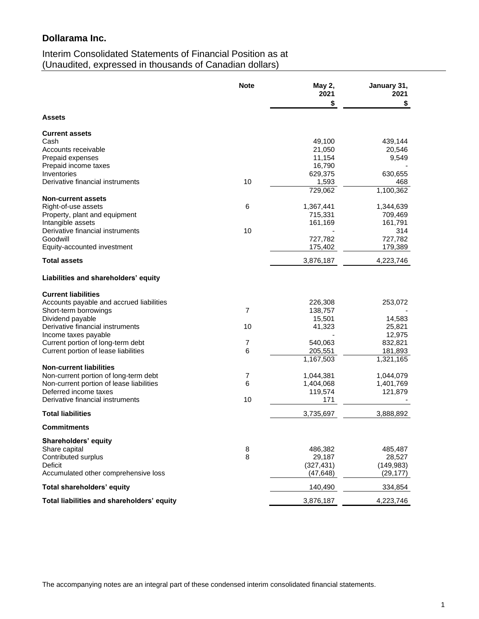# Interim Consolidated Statements of Financial Position as at (Unaudited, expressed in thousands of Canadian dollars)

|                                                                                   | <b>Note</b>         | May 2,<br>2021         | January 31,<br>2021    |
|-----------------------------------------------------------------------------------|---------------------|------------------------|------------------------|
| <b>Assets</b>                                                                     |                     | \$                     | \$                     |
|                                                                                   |                     |                        |                        |
| <b>Current assets</b>                                                             |                     |                        |                        |
| Cash<br>Accounts receivable                                                       |                     | 49,100<br>21,050       | 439,144<br>20,546      |
| Prepaid expenses                                                                  |                     | 11,154                 | 9,549                  |
| Prepaid income taxes                                                              |                     | 16,790                 |                        |
| Inventories                                                                       |                     | 629,375                | 630,655                |
| Derivative financial instruments                                                  | 10                  | 1,593                  | 468                    |
|                                                                                   |                     | 729,062                | 1,100,362              |
| <b>Non-current assets</b>                                                         |                     |                        |                        |
| Right-of-use assets                                                               | 6                   | 1,367,441              | 1,344,639              |
| Property, plant and equipment                                                     |                     | 715,331                | 709,469                |
| Intangible assets<br>Derivative financial instruments                             | 10                  | 161,169                | 161,791<br>314         |
| Goodwill                                                                          |                     | 727,782                | 727,782                |
| Equity-accounted investment                                                       |                     | 175,402                | 179,389                |
| <b>Total assets</b>                                                               |                     | 3,876,187              | 4,223,746              |
| Liabilities and shareholders' equity                                              |                     |                        |                        |
| <b>Current liabilities</b>                                                        |                     |                        |                        |
| Accounts payable and accrued liabilities                                          |                     | 226,308                | 253,072                |
| Short-term borrowings                                                             | $\overline{7}$      | 138,757                |                        |
| Dividend payable                                                                  |                     | 15,501                 | 14,583                 |
| Derivative financial instruments                                                  | 10                  | 41,323                 | 25,821                 |
| Income taxes payable                                                              |                     |                        | 12,975                 |
| Current portion of long-term debt                                                 | $\overline{7}$      | 540,063                | 832,821                |
| Current portion of lease liabilities                                              | 6                   | 205,551                | 181,893                |
|                                                                                   |                     | 1,167,503              | 1,321,165              |
| <b>Non-current liabilities</b>                                                    |                     |                        |                        |
| Non-current portion of long-term debt<br>Non-current portion of lease liabilities | $\overline{7}$<br>6 | 1,044,381<br>1,404,068 | 1,044,079<br>1,401,769 |
| Deferred income taxes                                                             |                     | 119,574                | 121,879                |
| Derivative financial instruments                                                  | 10                  | 171                    |                        |
| <b>Total liabilities</b>                                                          |                     | 3,735,697              | 3,888,892              |
| <b>Commitments</b>                                                                |                     |                        |                        |
| Shareholders' equity                                                              |                     |                        |                        |
| Share capital                                                                     | 8                   | 486,382                | 485,487                |
| Contributed surplus                                                               | 8                   | 29,187                 | 28,527                 |
| Deficit                                                                           |                     | (327, 431)             | (149, 983)             |
| Accumulated other comprehensive loss                                              |                     | (47, 648)              | (29, 177)              |
| Total shareholders' equity                                                        |                     | 140,490                | 334,854                |
| Total liabilities and shareholders' equity                                        |                     | 3,876,187              | 4,223,746              |

The accompanying notes are an integral part of these condensed interim consolidated financial statements.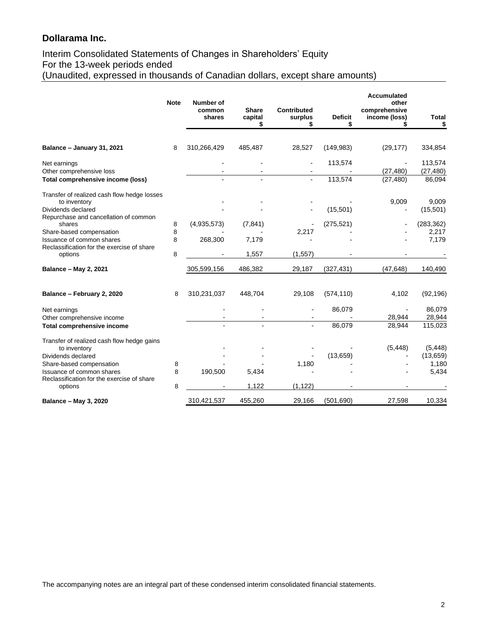# Interim Consolidated Statements of Changes in Shareholders' Equity For the 13-week periods ended (Unaudited, expressed in thousands of Canadian dollars, except share amounts)

|                                                                             | <b>Note</b> | Number of        |                               |                                    |                      | <b>Accumulated</b><br>other    |                      |
|-----------------------------------------------------------------------------|-------------|------------------|-------------------------------|------------------------------------|----------------------|--------------------------------|----------------------|
|                                                                             |             | common<br>shares | <b>Share</b><br>capital<br>\$ | <b>Contributed</b><br>surplus<br>S | <b>Deficit</b><br>\$ | comprehensive<br>income (loss) | <b>Total</b><br>\$   |
|                                                                             |             |                  |                               |                                    |                      |                                |                      |
| Balance - January 31, 2021                                                  | 8           | 310,266,429      | 485,487                       | 28,527                             | (149, 983)           | (29, 177)                      | 334,854              |
| Net earnings<br>Other comprehensive loss                                    |             |                  |                               |                                    | 113,574              | (27, 480)                      | 113,574<br>(27, 480) |
| Total comprehensive income (loss)                                           |             |                  |                               |                                    | 113,574              | (27, 480)                      | 86,094               |
| Transfer of realized cash flow hedge losses                                 |             |                  |                               |                                    |                      |                                |                      |
| to inventory<br>Dividends declared<br>Repurchase and cancellation of common |             |                  |                               |                                    | (15, 501)            | 9,009                          | 9,009<br>(15,501)    |
| shares<br>Share-based compensation                                          | 8<br>8      | (4,935,573)      | (7, 841)                      | 2,217                              | (275, 521)           |                                | (283, 362)           |
| Issuance of common shares                                                   | 8           | 268,300          | 7,179                         |                                    |                      |                                | 2,217<br>7,179       |
| Reclassification for the exercise of share<br>options                       | 8           |                  | 1,557                         | (1, 557)                           |                      |                                |                      |
| <b>Balance - May 2, 2021</b>                                                |             | 305,599,156      | 486,382                       | 29,187                             | (327, 431)           | (47, 648)                      | 140,490              |
| Balance - February 2, 2020                                                  | 8           | 310,231,037      | 448,704                       | 29,108                             | (574, 110)           | 4,102                          | (92, 196)            |
| Net earnings<br>Other comprehensive income                                  |             |                  |                               |                                    | 86,079               | 28,944                         | 86,079<br>28,944     |
| <b>Total comprehensive income</b>                                           |             |                  |                               |                                    | 86.079               | 28,944                         | 115,023              |
| Transfer of realized cash flow hedge gains<br>to inventory                  |             |                  |                               |                                    |                      | (5, 448)                       | (5, 448)             |
| Dividends declared                                                          |             |                  |                               | 1,180                              | (13,659)             |                                | (13,659)             |
| Share-based compensation<br>Issuance of common shares                       | 8<br>8      | 190,500          | 5,434                         |                                    |                      |                                | 1,180<br>5,434       |
| Reclassification for the exercise of share<br>options                       | 8           |                  | 1,122                         | (1, 122)                           |                      |                                |                      |
| <b>Balance - May 3, 2020</b>                                                |             | 310,421,537      | 455,260                       | 29,166                             | (501, 690)           | 27,598                         | 10,334               |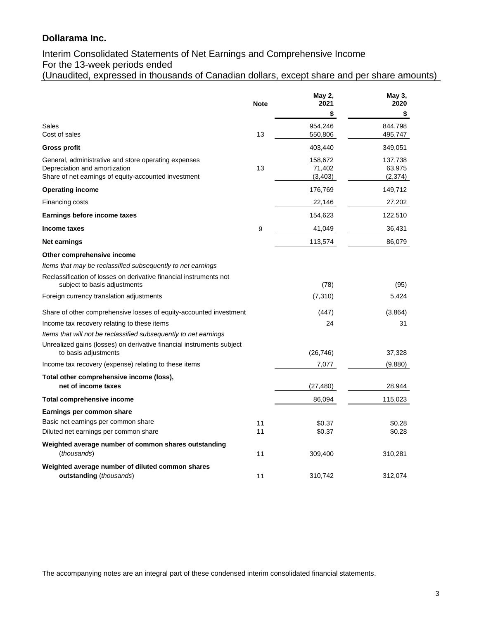# Interim Consolidated Statements of Net Earnings and Comprehensive Income For the 13-week periods ended

(Unaudited, expressed in thousands of Canadian dollars, except share and per share amounts)

|                                                                                                                                               | <b>Note</b> | May 2,<br>2021                | May 3,<br>2020                |
|-----------------------------------------------------------------------------------------------------------------------------------------------|-------------|-------------------------------|-------------------------------|
|                                                                                                                                               |             | \$                            | \$                            |
| Sales<br>Cost of sales                                                                                                                        | 13          | 954,246<br>550,806            | 844,798<br>495,747            |
| Gross profit                                                                                                                                  |             | 403,440                       | 349,051                       |
| General, administrative and store operating expenses<br>Depreciation and amortization<br>Share of net earnings of equity-accounted investment | 13          | 158,672<br>71,402<br>(3, 403) | 137,738<br>63,975<br>(2, 374) |
| <b>Operating income</b>                                                                                                                       |             | 176,769                       | 149,712                       |
| Financing costs                                                                                                                               |             | 22,146                        | 27,202                        |
| Earnings before income taxes                                                                                                                  |             | 154,623                       | 122,510                       |
| Income taxes                                                                                                                                  | 9           | 41,049                        | 36,431                        |
| Net earnings                                                                                                                                  |             | 113,574                       | 86,079                        |
| Other comprehensive income                                                                                                                    |             |                               |                               |
| Items that may be reclassified subsequently to net earnings                                                                                   |             |                               |                               |
| Reclassification of losses on derivative financial instruments not<br>subject to basis adjustments                                            |             | (78)                          | (95)                          |
| Foreign currency translation adjustments                                                                                                      |             | (7,310)                       | 5,424                         |
| Share of other comprehensive losses of equity-accounted investment                                                                            |             | (447)                         | (3,864)                       |
| Income tax recovery relating to these items                                                                                                   |             | 24                            | 31                            |
| Items that will not be reclassified subsequently to net earnings                                                                              |             |                               |                               |
| Unrealized gains (losses) on derivative financial instruments subject<br>to basis adjustments                                                 |             | (26, 746)                     | 37,328                        |
| Income tax recovery (expense) relating to these items                                                                                         |             | 7,077                         | (9,880)                       |
| Total other comprehensive income (loss),<br>net of income taxes                                                                               |             | (27, 480)                     | 28,944                        |
| <b>Total comprehensive income</b>                                                                                                             |             | 86,094                        | 115,023                       |
| Earnings per common share                                                                                                                     |             |                               |                               |
| Basic net earnings per common share                                                                                                           | 11          | \$0.37                        | \$0.28                        |
| Diluted net earnings per common share                                                                                                         | 11          | \$0.37                        | \$0.28                        |
| Weighted average number of common shares outstanding<br>(thousands)                                                                           | 11          | 309,400                       | 310,281                       |
| Weighted average number of diluted common shares                                                                                              |             |                               |                               |
| outstanding (thousands)                                                                                                                       | 11          | 310,742                       | 312,074                       |

The accompanying notes are an integral part of these condensed interim consolidated financial statements.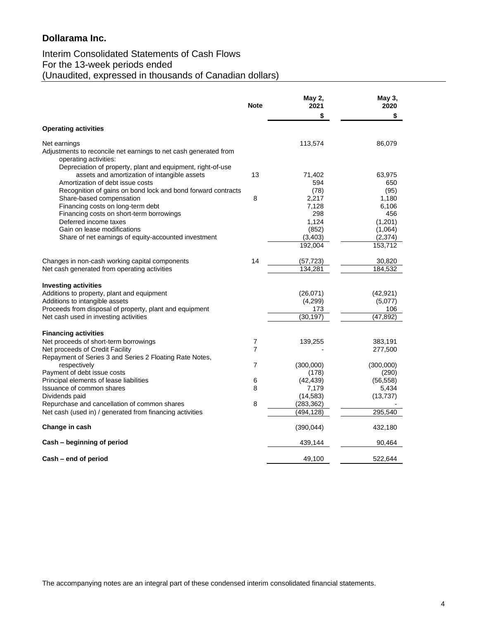# Interim Consolidated Statements of Cash Flows For the 13-week periods ended (Unaudited, expressed in thousands of Canadian dollars)

|                                                                                  | <b>Note</b>    | May 2,<br>2021 | May 3,<br>2020 |
|----------------------------------------------------------------------------------|----------------|----------------|----------------|
|                                                                                  |                | \$             | \$             |
| <b>Operating activities</b>                                                      |                |                |                |
| Net earnings                                                                     |                | 113,574        | 86,079         |
| Adjustments to reconcile net earnings to net cash generated from                 |                |                |                |
| operating activities:                                                            |                |                |                |
| Depreciation of property, plant and equipment, right-of-use                      | 13             |                | 63,975         |
| assets and amortization of intangible assets<br>Amortization of debt issue costs |                | 71,402<br>594  | 650            |
| Recognition of gains on bond lock and bond forward contracts                     |                | (78)           | (95)           |
| Share-based compensation                                                         | 8              | 2,217          | 1,180          |
| Financing costs on long-term debt                                                |                | 7,128          | 6,106          |
| Financing costs on short-term borrowings                                         |                | 298            | 456            |
| Deferred income taxes                                                            |                | 1,124          | (1,201)        |
| Gain on lease modifications                                                      |                | (852)          | (1,064)        |
| Share of net earnings of equity-accounted investment                             |                | (3, 403)       | (2, 374)       |
|                                                                                  |                | 192,004        | 153,712        |
| Changes in non-cash working capital components                                   | 14             | (57, 723)      | 30,820         |
| Net cash generated from operating activities                                     |                | 134,281        | 184,532        |
|                                                                                  |                |                |                |
| <b>Investing activities</b>                                                      |                |                |                |
| Additions to property, plant and equipment                                       |                | (26, 071)      | (42, 921)      |
| Additions to intangible assets                                                   |                | (4,299)        | (5,077)        |
| Proceeds from disposal of property, plant and equipment                          |                | 173            | 106            |
| Net cash used in investing activities                                            |                | (30,197)       | (47, 892)      |
| <b>Financing activities</b>                                                      |                |                |                |
| Net proceeds of short-term borrowings                                            | 7              | 139,255        | 383,191        |
| Net proceeds of Credit Facility                                                  | $\overline{7}$ |                | 277,500        |
| Repayment of Series 3 and Series 2 Floating Rate Notes,                          |                |                |                |
| respectively                                                                     | 7              | (300,000)      | (300,000)      |
| Payment of debt issue costs                                                      |                | (178)          | (290)          |
| Principal elements of lease liabilities                                          | 6              | (42, 439)      | (56, 558)      |
| Issuance of common shares                                                        | 8              | 7,179          | 5,434          |
| Dividends paid                                                                   |                | (14, 583)      | (13, 737)      |
| Repurchase and cancellation of common shares                                     | 8              | (283, 362)     |                |
| Net cash (used in) / generated from financing activities                         |                | (494, 128)     | 295,540        |
| Change in cash                                                                   |                | (390, 044)     | 432,180        |
| Cash – beginning of period                                                       |                | 439,144        | 90,464         |
| Cash - end of period                                                             |                | 49,100         | 522,644        |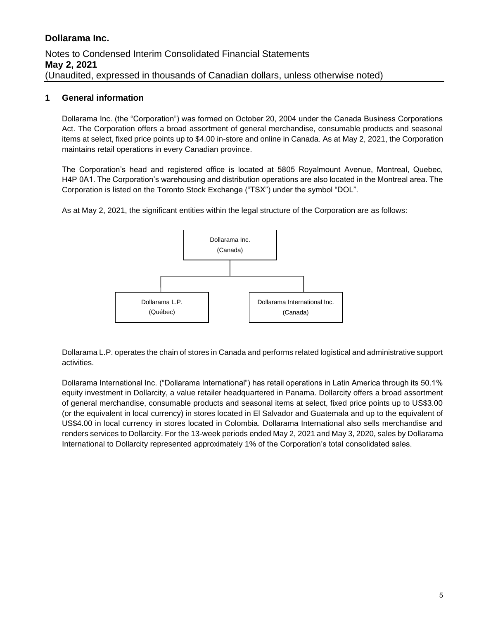### **1 General information**

Dollarama Inc. (the "Corporation") was formed on October 20, 2004 under the Canada Business Corporations Act. The Corporation offers a broad assortment of general merchandise, consumable products and seasonal items at select, fixed price points up to \$4.00 in-store and online in Canada. As at May 2, 2021, the Corporation maintains retail operations in every Canadian province.

The Corporation's head and registered office is located at 5805 Royalmount Avenue, Montreal, Quebec, H4P 0A1. The Corporation's warehousing and distribution operations are also located in the Montreal area. The Corporation is listed on the Toronto Stock Exchange ("TSX") under the symbol "DOL".

As at May 2, 2021, the significant entities within the legal structure of the Corporation are as follows:



Dollarama L.P. operates the chain of stores in Canada and performs related logistical and administrative support activities.

Dollarama International Inc. ("Dollarama International") has retail operations in Latin America through its 50.1% equity investment in Dollarcity, a value retailer headquartered in Panama. Dollarcity offers a broad assortment of general merchandise, consumable products and seasonal items at select, fixed price points up to US\$3.00 (or the equivalent in local currency) in stores located in El Salvador and Guatemala and up to the equivalent of US\$4.00 in local currency in stores located in Colombia. Dollarama International also sells merchandise and renders services to Dollarcity. For the 13-week periods ended May 2, 2021 and May 3, 2020, sales by Dollarama International to Dollarcity represented approximately 1% of the Corporation's total consolidated sales.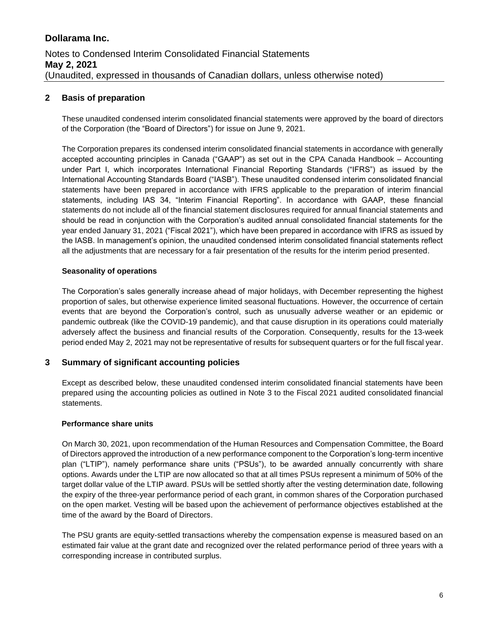### **2 Basis of preparation**

These unaudited condensed interim consolidated financial statements were approved by the board of directors of the Corporation (the "Board of Directors") for issue on June 9, 2021.

The Corporation prepares its condensed interim consolidated financial statements in accordance with generally accepted accounting principles in Canada ("GAAP") as set out in the CPA Canada Handbook – Accounting under Part I, which incorporates International Financial Reporting Standards ("IFRS") as issued by the International Accounting Standards Board ("IASB"). These unaudited condensed interim consolidated financial statements have been prepared in accordance with IFRS applicable to the preparation of interim financial statements, including IAS 34, "Interim Financial Reporting". In accordance with GAAP, these financial statements do not include all of the financial statement disclosures required for annual financial statements and should be read in conjunction with the Corporation's audited annual consolidated financial statements for the year ended January 31, 2021 ("Fiscal 2021"), which have been prepared in accordance with IFRS as issued by the IASB. In management's opinion, the unaudited condensed interim consolidated financial statements reflect all the adjustments that are necessary for a fair presentation of the results for the interim period presented.

#### **Seasonality of operations**

The Corporation's sales generally increase ahead of major holidays, with December representing the highest proportion of sales, but otherwise experience limited seasonal fluctuations. However, the occurrence of certain events that are beyond the Corporation's control, such as unusually adverse weather or an epidemic or pandemic outbreak (like the COVID-19 pandemic), and that cause disruption in its operations could materially adversely affect the business and financial results of the Corporation. Consequently, results for the 13-week period ended May 2, 2021 may not be representative of results for subsequent quarters or for the full fiscal year.

#### **3 Summary of significant accounting policies**

Except as described below, these unaudited condensed interim consolidated financial statements have been prepared using the accounting policies as outlined in Note 3 to the Fiscal 2021 audited consolidated financial statements.

#### **Performance share units**

On March 30, 2021, upon recommendation of the Human Resources and Compensation Committee, the Board of Directors approved the introduction of a new performance component to the Corporation's long-term incentive plan ("LTIP"), namely performance share units ("PSUs"), to be awarded annually concurrently with share options. Awards under the LTIP are now allocated so that at all times PSUs represent a minimum of 50% of the target dollar value of the LTIP award. PSUs will be settled shortly after the vesting determination date, following the expiry of the three-year performance period of each grant, in common shares of the Corporation purchased on the open market. Vesting will be based upon the achievement of performance objectives established at the time of the award by the Board of Directors.

The PSU grants are equity-settled transactions whereby the compensation expense is measured based on an estimated fair value at the grant date and recognized over the related performance period of three years with a corresponding increase in contributed surplus.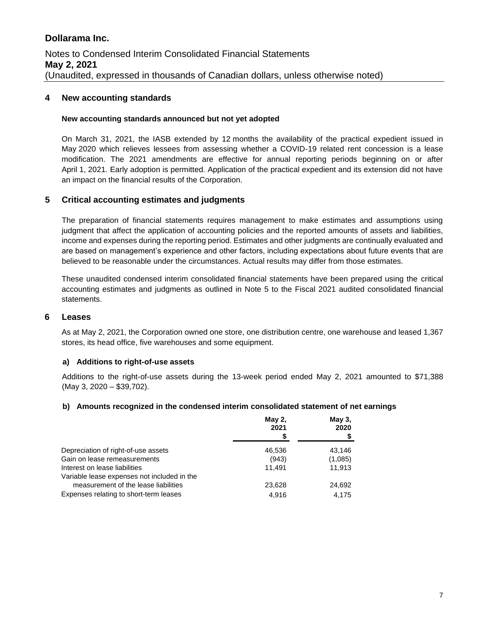#### **4 New accounting standards**

#### **New accounting standards announced but not yet adopted**

On March 31, 2021, the IASB extended by 12 months the availability of the practical expedient issued in May 2020 which relieves lessees from assessing whether a COVID-19 related rent concession is a lease modification. The 2021 amendments are effective for annual reporting periods beginning on or after April 1, 2021. Early adoption is permitted. Application of the practical expedient and its extension did not have an impact on the financial results of the Corporation.

#### **5 Critical accounting estimates and judgments**

The preparation of financial statements requires management to make estimates and assumptions using judgment that affect the application of accounting policies and the reported amounts of assets and liabilities, income and expenses during the reporting period. Estimates and other judgments are continually evaluated and are based on management's experience and other factors, including expectations about future events that are believed to be reasonable under the circumstances. Actual results may differ from those estimates.

These unaudited condensed interim consolidated financial statements have been prepared using the critical accounting estimates and judgments as outlined in Note 5 to the Fiscal 2021 audited consolidated financial statements.

#### **6 Leases**

As at May 2, 2021, the Corporation owned one store, one distribution centre, one warehouse and leased 1,367 stores, its head office, five warehouses and some equipment.

#### **a) Additions to right-of-use assets**

Additions to the right-of-use assets during the 13-week period ended May 2, 2021 amounted to \$71,388 (May 3, 2020 – \$39,702).

#### **b) Amounts recognized in the condensed interim consolidated statement of net earnings**

|                                             | <b>May 2,</b><br>2021<br>S | May 3,<br>2020 |
|---------------------------------------------|----------------------------|----------------|
| Depreciation of right-of-use assets         | 46,536                     | 43,146         |
| Gain on lease remeasurements                | (943)                      | (1,085)        |
| Interest on lease liabilities               | 11.491                     | 11.913         |
| Variable lease expenses not included in the |                            |                |
| measurement of the lease liabilities        | 23,628                     | 24,692         |
| Expenses relating to short-term leases      | 4.916                      | 4.175          |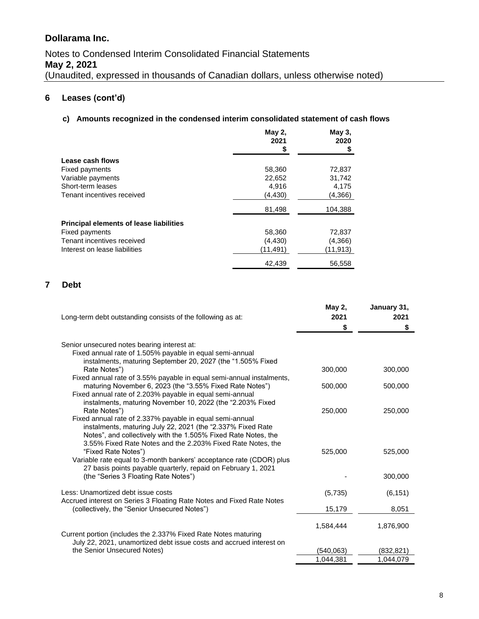## **6 Leases (cont'd)**

#### **c) Amounts recognized in the condensed interim consolidated statement of cash flows**

|                                                | May 2,<br>2021<br>\$ | May 3,<br>2020 |
|------------------------------------------------|----------------------|----------------|
| Lease cash flows                               |                      |                |
| Fixed payments                                 | 58,360               | 72,837         |
| Variable payments                              | 22,652               | 31,742         |
| Short-term leases                              | 4,916                | 4,175          |
| Tenant incentives received                     | (4,430)              | (4,366)        |
|                                                | 81,498               | 104,388        |
| <b>Principal elements of lease liabilities</b> |                      |                |
| Fixed payments                                 | 58,360               | 72,837         |
| Tenant incentives received                     | (4, 430)             | (4,366)        |
| Interest on lease liabilities                  | (11,491)             | (11, 913)      |
|                                                | 42,439               | 56,558         |

### **7 Debt**

| Long-term debt outstanding consists of the following as at:                                                                                                                                  | May 2,<br>2021<br>\$    | January 31,<br>2021<br>\$ |
|----------------------------------------------------------------------------------------------------------------------------------------------------------------------------------------------|-------------------------|---------------------------|
| Senior unsecured notes bearing interest at:                                                                                                                                                  |                         |                           |
| Fixed annual rate of 1.505% payable in equal semi-annual<br>instalments, maturing September 20, 2027 (the "1.505% Fixed                                                                      |                         |                           |
| Rate Notes")                                                                                                                                                                                 | 300,000                 | 300,000                   |
| Fixed annual rate of 3.55% payable in equal semi-annual instalments,<br>maturing November 6, 2023 (the "3.55% Fixed Rate Notes")<br>Fixed annual rate of 2.203% payable in equal semi-annual | 500,000                 | 500,000                   |
| instalments, maturing November 10, 2022 (the "2.203% Fixed<br>Rate Notes")                                                                                                                   | 250,000                 | 250,000                   |
| Fixed annual rate of 2.337% payable in equal semi-annual<br>instalments, maturing July 22, 2021 (the "2.337% Fixed Rate<br>Notes", and collectively with the 1.505% Fixed Rate Notes, the    |                         |                           |
| 3.55% Fixed Rate Notes and the 2.203% Fixed Rate Notes, the<br>"Fixed Rate Notes")                                                                                                           | 525,000                 | 525,000                   |
| Variable rate equal to 3-month bankers' acceptance rate (CDOR) plus<br>27 basis points payable quarterly, repaid on February 1, 2021                                                         |                         |                           |
| (the "Series 3 Floating Rate Notes")                                                                                                                                                         |                         | 300,000                   |
| Less: Unamortized debt issue costs<br>Accrued interest on Series 3 Floating Rate Notes and Fixed Rate Notes                                                                                  | (5,735)                 | (6, 151)                  |
| (collectively, the "Senior Unsecured Notes")                                                                                                                                                 | 15,179                  | 8,051                     |
| Current portion (includes the 2.337% Fixed Rate Notes maturing                                                                                                                               | 1,584,444               | 1,876,900                 |
| July 22, 2021, unamortized debt issue costs and accrued interest on                                                                                                                          |                         |                           |
| the Senior Unsecured Notes)                                                                                                                                                                  | (540, 063)<br>1.044.381 | (832, 821)<br>1.044.079   |
|                                                                                                                                                                                              |                         |                           |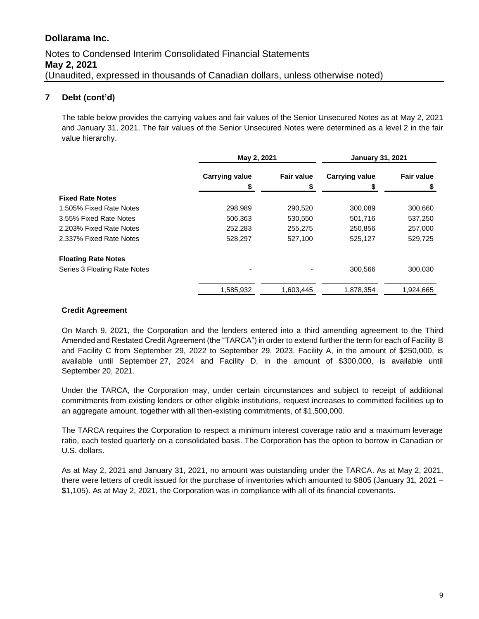# Notes to Condensed Interim Consolidated Financial Statements **May 2, 2021** (Unaudited, expressed in thousands of Canadian dollars, unless otherwise noted)

### **7 Debt (cont'd)**

The table below provides the carrying values and fair values of the Senior Unsecured Notes as at May 2, 2021 and January 31, 2021. The fair values of the Senior Unsecured Notes were determined as a level 2 in the fair value hierarchy.

|                              | May 2, 2021           |                   | <b>January 31, 2021</b> |                   |
|------------------------------|-----------------------|-------------------|-------------------------|-------------------|
|                              | <b>Carrying value</b> | <b>Fair value</b> | <b>Carrying value</b>   | <b>Fair value</b> |
|                              |                       |                   |                         |                   |
| <b>Fixed Rate Notes</b>      |                       |                   |                         |                   |
| 1.505% Fixed Rate Notes      | 298,989               | 290,520           | 300,089                 | 300,660           |
| 3.55% Fixed Rate Notes       | 506,363               | 530,550           | 501,716                 | 537,250           |
| 2.203% Fixed Rate Notes      | 252,283               | 255,275           | 250,856                 | 257,000           |
| 2.337% Fixed Rate Notes      | 528.297               | 527.100           | 525,127                 | 529,725           |
| <b>Floating Rate Notes</b>   |                       |                   |                         |                   |
| Series 3 Floating Rate Notes |                       |                   | 300,566                 | 300,030           |
|                              | 1,585,932             | 1,603,445         | 1,878,354               | 1,924,665         |

#### **Credit Agreement**

On March 9, 2021, the Corporation and the lenders entered into a third amending agreement to the Third Amended and Restated Credit Agreement (the "TARCA") in order to extend further the term for each of Facility B and Facility C from September 29, 2022 to September 29, 2023. Facility A, in the amount of \$250,000, is available until September 27, 2024 and Facility D, in the amount of \$300,000, is available until September 20, 2021.

Under the TARCA, the Corporation may, under certain circumstances and subject to receipt of additional commitments from existing lenders or other eligible institutions, request increases to committed facilities up to an aggregate amount, together with all then-existing commitments, of \$1,500,000.

The TARCA requires the Corporation to respect a minimum interest coverage ratio and a maximum leverage ratio, each tested quarterly on a consolidated basis. The Corporation has the option to borrow in Canadian or U.S. dollars.

As at May 2, 2021 and January 31, 2021, no amount was outstanding under the TARCA. As at May 2, 2021, there were letters of credit issued for the purchase of inventories which amounted to \$805 (January 31, 2021 – \$1,105). As at May 2, 2021, the Corporation was in compliance with all of its financial covenants.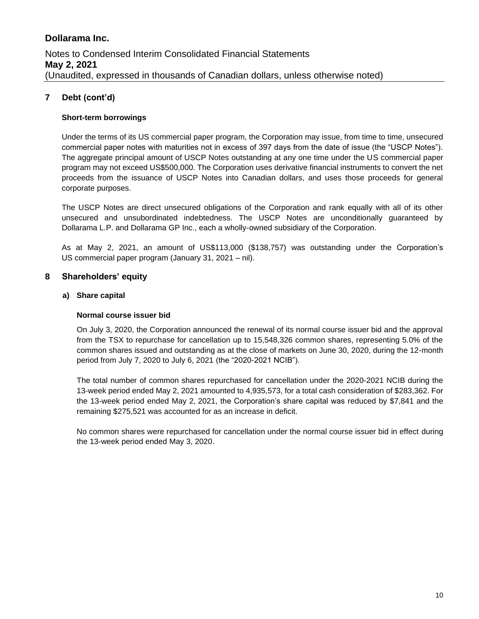## **7 Debt (cont'd)**

#### **Short-term borrowings**

Under the terms of its US commercial paper program, the Corporation may issue, from time to time, unsecured commercial paper notes with maturities not in excess of 397 days from the date of issue (the "USCP Notes"). The aggregate principal amount of USCP Notes outstanding at any one time under the US commercial paper program may not exceed US\$500,000. The Corporation uses derivative financial instruments to convert the net proceeds from the issuance of USCP Notes into Canadian dollars, and uses those proceeds for general corporate purposes.

The USCP Notes are direct unsecured obligations of the Corporation and rank equally with all of its other unsecured and unsubordinated indebtedness. The USCP Notes are unconditionally guaranteed by Dollarama L.P. and Dollarama GP Inc., each a wholly-owned subsidiary of the Corporation.

As at May 2, 2021, an amount of US\$113,000 (\$138,757) was outstanding under the Corporation's US commercial paper program (January 31, 2021 – nil).

#### **8 Shareholders' equity**

#### **a) Share capital**

#### **Normal course issuer bid**

On July 3, 2020, the Corporation announced the renewal of its normal course issuer bid and the approval from the TSX to repurchase for cancellation up to 15,548,326 common shares, representing 5.0% of the common shares issued and outstanding as at the close of markets on June 30, 2020, during the 12-month period from July 7, 2020 to July 6, 2021 (the "2020-2021 NCIB").

The total number of common shares repurchased for cancellation under the 2020-2021 NCIB during the 13-week period ended May 2, 2021 amounted to 4,935,573, for a total cash consideration of \$283,362. For the 13-week period ended May 2, 2021, the Corporation's share capital was reduced by \$7,841 and the remaining \$275,521 was accounted for as an increase in deficit.

No common shares were repurchased for cancellation under the normal course issuer bid in effect during the 13-week period ended May 3, 2020.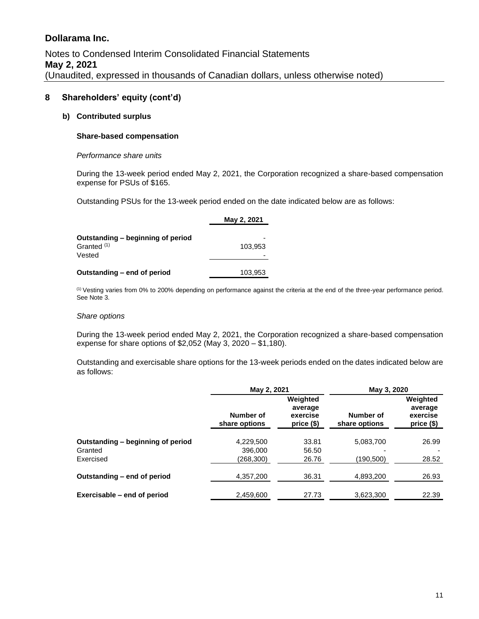#### **8 Shareholders' equity (cont'd)**

#### **b) Contributed surplus**

#### **Share-based compensation**

#### *Performance share units*

During the 13-week period ended May 2, 2021, the Corporation recognized a share-based compensation expense for PSUs of \$165.

Outstanding PSUs for the 13-week period ended on the date indicated below are as follows:

|                                                                       | May 2, 2021 |
|-----------------------------------------------------------------------|-------------|
| Outstanding – beginning of period<br>Granted <sup>(1)</sup><br>Vested | 103.953     |
| Outstanding – end of period                                           | 103,953     |

(1) Vesting varies from 0% to 200% depending on performance against the criteria at the end of the three-year performance period. See Note 3.

#### *Share options*

During the 13-week period ended May 2, 2021, the Corporation recognized a share-based compensation expense for share options of \$2,052 (May 3, 2020 – \$1,180).

Outstanding and exercisable share options for the 13-week periods ended on the dates indicated below are as follows:

|                                   | May 2, 2021                |                                               | May 3, 2020                |                                               |  |
|-----------------------------------|----------------------------|-----------------------------------------------|----------------------------|-----------------------------------------------|--|
|                                   | Number of<br>share options | Weighted<br>average<br>exercise<br>price (\$) | Number of<br>share options | Weighted<br>average<br>exercise<br>price (\$) |  |
| Outstanding - beginning of period | 4,229,500                  | 33.81                                         | 5,083,700                  | 26.99                                         |  |
| Granted                           | 396,000                    | 56.50                                         |                            |                                               |  |
| Exercised                         | (268, 300)                 | 26.76                                         | (190, 500)                 | 28.52                                         |  |
| Outstanding - end of period       | 4,357,200                  | 36.31                                         | 4,893,200                  | 26.93                                         |  |
| Exercisable – end of period       | 2,459,600                  | 27.73                                         | 3,623,300                  | 22.39                                         |  |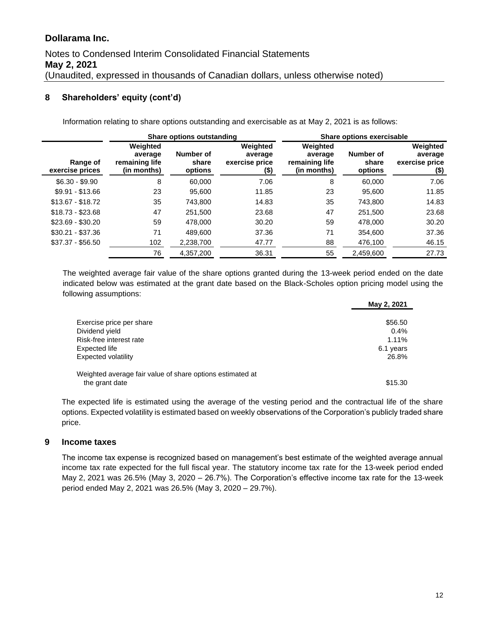# Notes to Condensed Interim Consolidated Financial Statements **May 2, 2021** (Unaudited, expressed in thousands of Canadian dollars, unless otherwise noted)

#### **8 Shareholders' equity (cont'd)**

Information relating to share options outstanding and exercisable as at May 2, 2021 is as follows:

|                             | Share options outstanding                            |                               |                                                  | Share options exercisable                            |                               |                                                  |  |
|-----------------------------|------------------------------------------------------|-------------------------------|--------------------------------------------------|------------------------------------------------------|-------------------------------|--------------------------------------------------|--|
| Range of<br>exercise prices | Weighted<br>average<br>remaining life<br>(in months) | Number of<br>share<br>options | Weighted<br>average<br>exercise price<br>$($ \$) | Weighted<br>average<br>remaining life<br>(in months) | Number of<br>share<br>options | Weighted<br>average<br>exercise price<br>$($ \$) |  |
| $$6.30 - $9.90$             | 8                                                    | 60,000                        | 7.06                                             | 8                                                    | 60,000                        | 7.06                                             |  |
| $$9.91 - $13.66$            | 23                                                   | 95.600                        | 11.85                                            | 23                                                   | 95.600                        | 11.85                                            |  |
| $$13.67 - $18.72$           | 35                                                   | 743.800                       | 14.83                                            | 35                                                   | 743.800                       | 14.83                                            |  |
| $$18.73 - $23.68$           | 47                                                   | 251,500                       | 23.68                                            | 47                                                   | 251,500                       | 23.68                                            |  |
| $$23.69 - $30.20$           | 59                                                   | 478.000                       | 30.20                                            | 59                                                   | 478.000                       | 30.20                                            |  |
| $$30.21 - $37.36$           | 71                                                   | 489.600                       | 37.36                                            | 71                                                   | 354,600                       | 37.36                                            |  |
| $$37.37 - $56.50$           | 102                                                  | 2,238,700                     | 47.77                                            | 88                                                   | 476,100                       | 46.15                                            |  |
|                             | 76                                                   | 4,357,200                     | 36.31                                            | 55                                                   | 2,459,600                     | 27.73                                            |  |

The weighted average fair value of the share options granted during the 13-week period ended on the date indicated below was estimated at the grant date based on the Black-Scholes option pricing model using the following assumptions:

|                                                           | May 2, 2021 |
|-----------------------------------------------------------|-------------|
|                                                           |             |
| Exercise price per share                                  | \$56.50     |
| Dividend yield                                            | 0.4%        |
| Risk-free interest rate                                   | 1.11%       |
| Expected life                                             | 6.1 years   |
| Expected volatility                                       | 26.8%       |
| Weighted average fair value of share options estimated at |             |
| the grant date                                            | \$15.30     |

The expected life is estimated using the average of the vesting period and the contractual life of the share options. Expected volatility is estimated based on weekly observations of the Corporation's publicly traded share price.

#### **9 Income taxes**

The income tax expense is recognized based on management's best estimate of the weighted average annual income tax rate expected for the full fiscal year. The statutory income tax rate for the 13-week period ended May 2, 2021 was 26.5% (May 3, 2020 – 26.7%). The Corporation's effective income tax rate for the 13-week period ended May 2, 2021 was 26.5% (May 3, 2020 – 29.7%).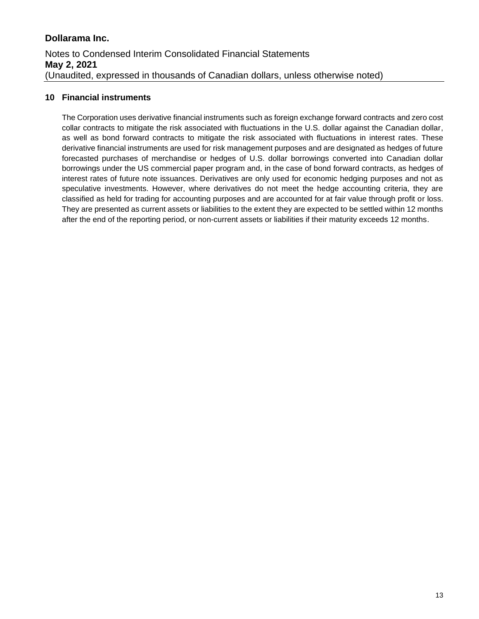### **10 Financial instruments**

The Corporation uses derivative financial instruments such as foreign exchange forward contracts and zero cost collar contracts to mitigate the risk associated with fluctuations in the U.S. dollar against the Canadian dollar, as well as bond forward contracts to mitigate the risk associated with fluctuations in interest rates. These derivative financial instruments are used for risk management purposes and are designated as hedges of future forecasted purchases of merchandise or hedges of U.S. dollar borrowings converted into Canadian dollar borrowings under the US commercial paper program and, in the case of bond forward contracts, as hedges of interest rates of future note issuances. Derivatives are only used for economic hedging purposes and not as speculative investments. However, where derivatives do not meet the hedge accounting criteria, they are classified as held for trading for accounting purposes and are accounted for at fair value through profit or loss. They are presented as current assets or liabilities to the extent they are expected to be settled within 12 months after the end of the reporting period, or non-current assets or liabilities if their maturity exceeds 12 months.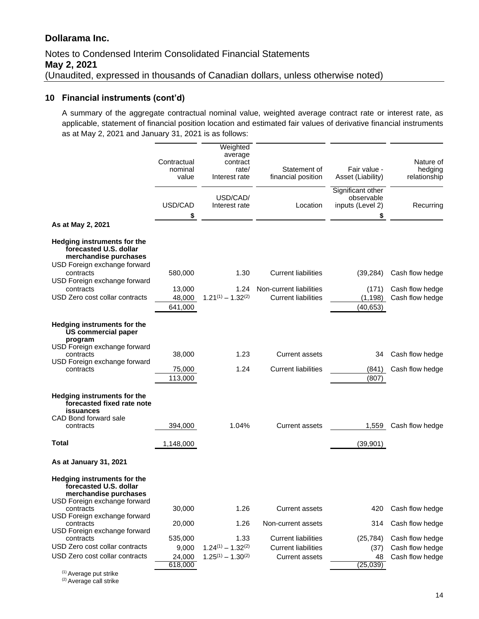# Notes to Condensed Interim Consolidated Financial Statements **May 2, 2021** (Unaudited, expressed in thousands of Canadian dollars, unless otherwise noted)

#### **10 Financial instruments (cont'd)**

A summary of the aggregate contractual nominal value, weighted average contract rate or interest rate, as applicable, statement of financial position location and estimated fair values of derivative financial instruments as at May 2, 2021 and January 31, 2021 is as follows:

|                                                                                                                | Contractual<br>nominal<br>value | Weighted<br>average<br>contract<br>rate/<br>Interest rate | Statement of<br>financial position                    | Fair value -<br>Asset (Liability)                        | Nature of<br>hedging<br>relationship |
|----------------------------------------------------------------------------------------------------------------|---------------------------------|-----------------------------------------------------------|-------------------------------------------------------|----------------------------------------------------------|--------------------------------------|
|                                                                                                                | USD/CAD<br>\$                   | USD/CAD/<br>Interest rate                                 | Location                                              | Significant other<br>observable<br>inputs (Level 2)<br>S | Recurring                            |
| As at May 2, 2021                                                                                              |                                 |                                                           |                                                       |                                                          |                                      |
| Hedging instruments for the<br>forecasted U.S. dollar<br>merchandise purchases<br>USD Foreign exchange forward |                                 |                                                           |                                                       |                                                          |                                      |
| contracts<br>USD Foreign exchange forward                                                                      | 580,000                         | 1.30                                                      | <b>Current liabilities</b>                            | (39, 284)                                                | Cash flow hedge                      |
| contracts<br>USD Zero cost collar contracts                                                                    | 13,000<br>48,000<br>641,000     | 1.24<br>$1.21^{(1)} - 1.32^{(2)}$                         | Non-current liabilities<br><b>Current liabilities</b> | (171)<br>(1, 198)<br>(40, 653)                           | Cash flow hedge<br>Cash flow hedge   |
| Hedging instruments for the<br><b>US commercial paper</b><br>program                                           |                                 |                                                           |                                                       |                                                          |                                      |
| USD Foreign exchange forward<br>contracts                                                                      | 38,000                          | 1.23                                                      | Current assets                                        | 34                                                       | Cash flow hedge                      |
| USD Foreign exchange forward<br>contracts                                                                      | 75,000<br>113,000               | 1.24                                                      | <b>Current liabilities</b>                            | (841)<br>(807)                                           | Cash flow hedge                      |
| <b>Hedging instruments for the</b><br>forecasted fixed rate note<br><b>issuances</b>                           |                                 |                                                           |                                                       |                                                          |                                      |
| CAD Bond forward sale<br>contracts                                                                             | 394,000                         | 1.04%                                                     | <b>Current assets</b>                                 | 1,559                                                    | Cash flow hedge                      |
| <b>Total</b>                                                                                                   | 1,148,000                       |                                                           |                                                       | (39, 901)                                                |                                      |
| As at January 31, 2021                                                                                         |                                 |                                                           |                                                       |                                                          |                                      |
| Hedging instruments for the<br>forecasted U.S. dollar<br>merchandise purchases                                 |                                 |                                                           |                                                       |                                                          |                                      |
| USD Foreign exchange forward<br>contracts<br>USD Foreign exchange forward                                      | 30,000                          | 1.26                                                      | <b>Current assets</b>                                 | 420                                                      | Cash flow hedge                      |
| contracts<br>USD Foreign exchange forward                                                                      | 20,000                          | 1.26                                                      | Non-current assets                                    | 314                                                      | Cash flow hedge                      |
| contracts<br>USD Zero cost collar contracts                                                                    | 535,000                         | 1.33                                                      | <b>Current liabilities</b>                            | (25, 784)                                                | Cash flow hedge                      |
| USD Zero cost collar contracts                                                                                 | 9,000<br>24,000<br>618,000      | $1.24^{(1)} - 1.32^{(2)}$<br>$1.25^{(1)} - 1.30^{(2)}$    | <b>Current liabilities</b><br><b>Current assets</b>   | (37)<br>48<br>(25, 039)                                  | Cash flow hedge<br>Cash flow hedge   |

<sup>(1)</sup> Average put strike

<sup>(2)</sup> Average call strike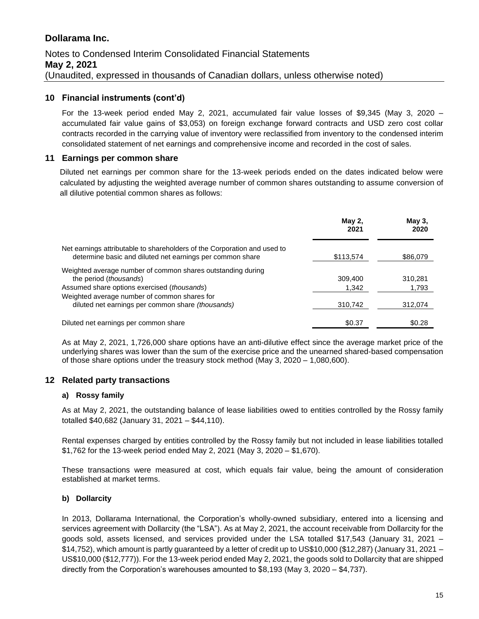# Notes to Condensed Interim Consolidated Financial Statements **May 2, 2021** (Unaudited, expressed in thousands of Canadian dollars, unless otherwise noted)

#### **10 Financial instruments (cont'd)**

For the 13-week period ended May 2, 2021, accumulated fair value losses of \$9,345 (May 3, 2020 – accumulated fair value gains of \$3,053) on foreign exchange forward contracts and USD zero cost collar contracts recorded in the carrying value of inventory were reclassified from inventory to the condensed interim consolidated statement of net earnings and comprehensive income and recorded in the cost of sales.

#### **11 Earnings per common share**

Diluted net earnings per common share for the 13-week periods ended on the dates indicated below were calculated by adjusting the weighted average number of common shares outstanding to assume conversion of all dilutive potential common shares as follows:

|                                                                                                                                       | May 2,<br>2021 | May 3,<br>2020 |
|---------------------------------------------------------------------------------------------------------------------------------------|----------------|----------------|
| Net earnings attributable to shareholders of the Corporation and used to<br>determine basic and diluted net earnings per common share | \$113,574      | \$86,079       |
|                                                                                                                                       |                |                |
| Weighted average number of common shares outstanding during<br>the period <i>(thousands)</i>                                          | 309,400        | 310.281        |
| Assumed share options exercised (thousands)                                                                                           | 1,342          | 1,793          |
| Weighted average number of common shares for                                                                                          |                |                |
| diluted net earnings per common share (thousands)                                                                                     | 310,742        | 312,074        |
| Diluted net earnings per common share                                                                                                 | \$0.37         | \$0.28         |

As at May 2, 2021, 1,726,000 share options have an anti-dilutive effect since the average market price of the underlying shares was lower than the sum of the exercise price and the unearned shared-based compensation of those share options under the treasury stock method (May 3, 2020 – 1,080,600).

#### **12 Related party transactions**

#### **a) Rossy family**

As at May 2, 2021, the outstanding balance of lease liabilities owed to entities controlled by the Rossy family totalled \$40,682 (January 31, 2021 – \$44,110).

Rental expenses charged by entities controlled by the Rossy family but not included in lease liabilities totalled \$1,762 for the 13-week period ended May 2, 2021 (May 3, 2020 – \$1,670).

These transactions were measured at cost, which equals fair value, being the amount of consideration established at market terms.

#### **b) Dollarcity**

In 2013, Dollarama International, the Corporation's wholly-owned subsidiary, entered into a licensing and services agreement with Dollarcity (the "LSA"). As at May 2, 2021, the account receivable from Dollarcity for the goods sold, assets licensed, and services provided under the LSA totalled \$17,543 (January 31, 2021 – \$14,752), which amount is partly guaranteed by a letter of credit up to US\$10,000 (\$12,287) (January 31, 2021 – US\$10,000 (\$12,777)). For the 13-week period ended May 2, 2021, the goods sold to Dollarcity that are shipped directly from the Corporation's warehouses amounted to \$8,193 (May 3, 2020 – \$4,737).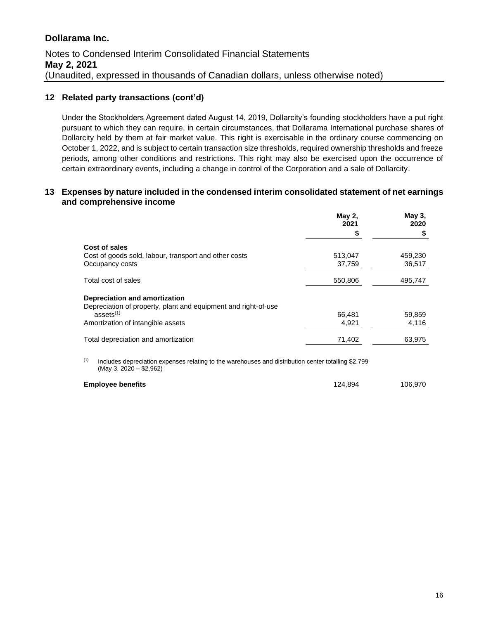### **12 Related party transactions (cont'd)**

Under the Stockholders Agreement dated August 14, 2019, Dollarcity's founding stockholders have a put right pursuant to which they can require, in certain circumstances, that Dollarama International purchase shares of Dollarcity held by them at fair market value. This right is exercisable in the ordinary course commencing on October 1, 2022, and is subject to certain transaction size thresholds, required ownership thresholds and freeze periods, among other conditions and restrictions. This right may also be exercised upon the occurrence of certain extraordinary events, including a change in control of the Corporation and a sale of Dollarcity.

#### **13 Expenses by nature included in the condensed interim consolidated statement of net earnings and comprehensive income**

|                                                                | <b>May 2,</b><br>2021 | May 3,<br>2020 |
|----------------------------------------------------------------|-----------------------|----------------|
|                                                                |                       |                |
| Cost of sales                                                  |                       |                |
| Cost of goods sold, labour, transport and other costs          | 513,047               | 459,230        |
| Occupancy costs                                                | 37,759                | 36,517         |
| Total cost of sales                                            | 550,806               | 495,747        |
| Depreciation and amortization                                  |                       |                |
| Depreciation of property, plant and equipment and right-of-use |                       |                |
| ases <sup>(1)</sup>                                            | 66,481                | 59,859         |
| Amortization of intangible assets                              | 4.921                 | 4.116          |
| Total depreciation and amortization                            | 71,402                | 63,975         |
|                                                                |                       |                |

(1) Includes depreciation expenses relating to the warehouses and distribution center totalling \$2,799 (May 3, 2020 – \$2,962)

| <b>Employee benefits</b> | 124.894 | 106,970 |
|--------------------------|---------|---------|
|                          |         |         |